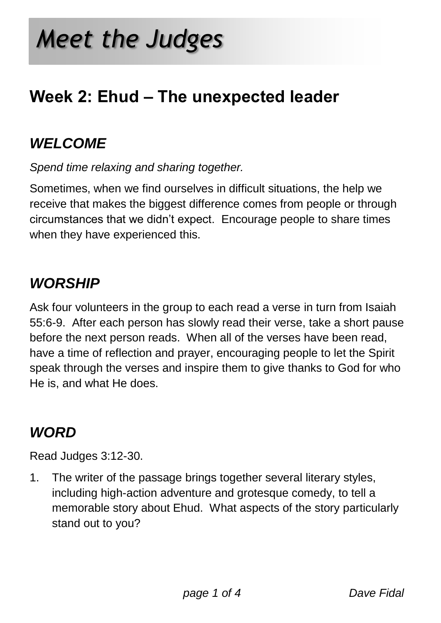## **Week 2: Ehud – The unexpected leader**

### *WELCOME*

*Spend time relaxing and sharing together.*

Sometimes, when we find ourselves in difficult situations, the help we receive that makes the biggest difference comes from people or through circumstances that we didn't expect. Encourage people to share times when they have experienced this.

#### *WORSHIP*

Ask four volunteers in the group to each read a verse in turn from Isaiah 55:6-9. After each person has slowly read their verse, take a short pause before the next person reads. When all of the verses have been read, have a time of reflection and prayer, encouraging people to let the Spirit speak through the verses and inspire them to give thanks to God for who He is, and what He does.

#### *WORD*

Read Judges 3:12-30.

1. The writer of the passage brings together several literary styles, including high-action adventure and grotesque comedy, to tell a memorable story about Ehud. What aspects of the story particularly stand out to you?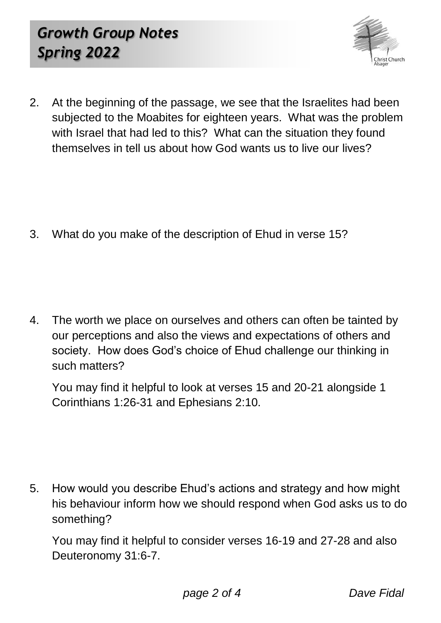

2. At the beginning of the passage, we see that the Israelites had been subjected to the Moabites for eighteen years. What was the problem with Israel that had led to this? What can the situation they found themselves in tell us about how God wants us to live our lives?

3. What do you make of the description of Ehud in verse 15?

4. The worth we place on ourselves and others can often be tainted by our perceptions and also the views and expectations of others and society. How does God's choice of Ehud challenge our thinking in such matters?

You may find it helpful to look at verses 15 and 20-21 alongside 1 Corinthians 1:26-31 and Ephesians 2:10.

5. How would you describe Ehud's actions and strategy and how might his behaviour inform how we should respond when God asks us to do something?

You may find it helpful to consider verses 16-19 and 27-28 and also Deuteronomy 31:6-7.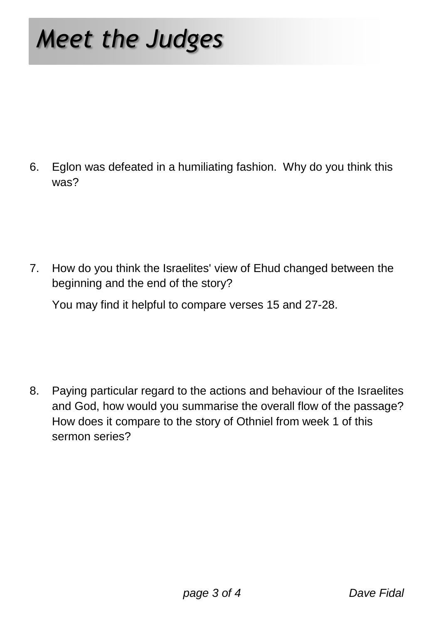# *Meet the Judges*

6. Eglon was defeated in a humiliating fashion. Why do you think this was?

7. How do you think the Israelites' view of Ehud changed between the beginning and the end of the story?

You may find it helpful to compare verses 15 and 27-28.

8. Paying particular regard to the actions and behaviour of the Israelites and God, how would you summarise the overall flow of the passage? How does it compare to the story of Othniel from week 1 of this sermon series?